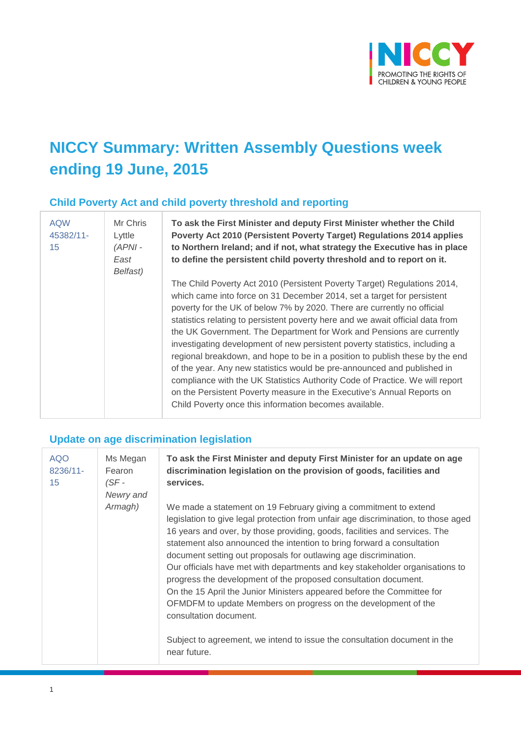

# **NICCY Summary: Written Assembly Questions week ending 19 June, 2015**

## **Child Poverty Act and child poverty threshold and reporting**

| <b>AQW</b><br>45382/11-<br>15 | Mr Chris<br>Lyttle<br>$(APNI -$<br>East<br>Belfast) | To ask the First Minister and deputy First Minister whether the Child<br>Poverty Act 2010 (Persistent Poverty Target) Regulations 2014 applies<br>to Northern Ireland; and if not, what strategy the Executive has in place<br>to define the persistent child poverty threshold and to report on it.                                                                                                                                                                                                                                                                                                                                                                                                                                                                                                                                                   |
|-------------------------------|-----------------------------------------------------|--------------------------------------------------------------------------------------------------------------------------------------------------------------------------------------------------------------------------------------------------------------------------------------------------------------------------------------------------------------------------------------------------------------------------------------------------------------------------------------------------------------------------------------------------------------------------------------------------------------------------------------------------------------------------------------------------------------------------------------------------------------------------------------------------------------------------------------------------------|
|                               |                                                     | The Child Poverty Act 2010 (Persistent Poverty Target) Regulations 2014,<br>which came into force on 31 December 2014, set a target for persistent<br>poverty for the UK of below 7% by 2020. There are currently no official<br>statistics relating to persistent poverty here and we await official data from<br>the UK Government. The Department for Work and Pensions are currently<br>investigating development of new persistent poverty statistics, including a<br>regional breakdown, and hope to be in a position to publish these by the end<br>of the year. Any new statistics would be pre-announced and published in<br>compliance with the UK Statistics Authority Code of Practice. We will report<br>on the Persistent Poverty measure in the Executive's Annual Reports on<br>Child Poverty once this information becomes available. |

## **Update on age discrimination legislation**

| <b>AQO</b><br>8236/11-<br>15 | Ms Megan<br>Fearon<br>$(SF -$<br>Newry and | To ask the First Minister and deputy First Minister for an update on age<br>discrimination legislation on the provision of goods, facilities and<br>services.                                                                                                                                                                                                                                                                                                                                                                                                                                                                                                                                                                                                                                            |
|------------------------------|--------------------------------------------|----------------------------------------------------------------------------------------------------------------------------------------------------------------------------------------------------------------------------------------------------------------------------------------------------------------------------------------------------------------------------------------------------------------------------------------------------------------------------------------------------------------------------------------------------------------------------------------------------------------------------------------------------------------------------------------------------------------------------------------------------------------------------------------------------------|
|                              | Armagh)                                    | We made a statement on 19 February giving a commitment to extend<br>legislation to give legal protection from unfair age discrimination, to those aged<br>16 years and over, by those providing, goods, facilities and services. The<br>statement also announced the intention to bring forward a consultation<br>document setting out proposals for outlawing age discrimination.<br>Our officials have met with departments and key stakeholder organisations to<br>progress the development of the proposed consultation document.<br>On the 15 April the Junior Ministers appeared before the Committee for<br>OFMDFM to update Members on progress on the development of the<br>consultation document.<br>Subject to agreement, we intend to issue the consultation document in the<br>near future. |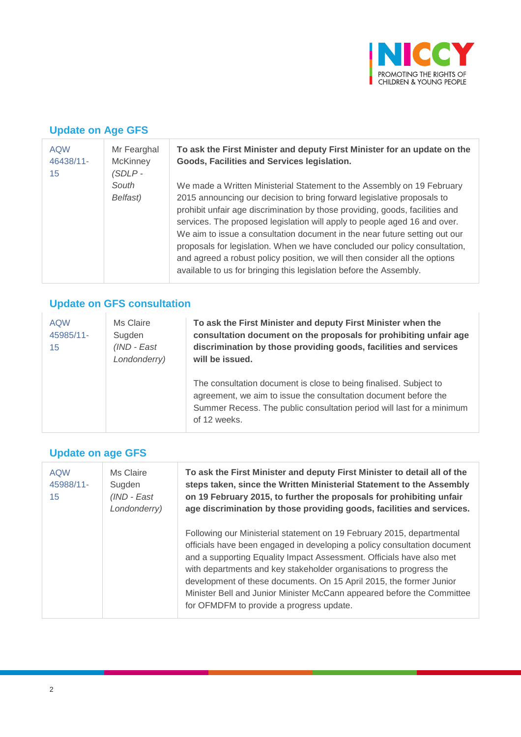

# **Update on Age GFS**

| <b>AQW</b><br>46438/11-<br>15 | Mr Fearghal<br><b>McKinney</b><br>$(SDLP -$ | To ask the First Minister and deputy First Minister for an update on the<br>Goods, Facilities and Services legislation.                                                                                                                                                                                                                                                                             |
|-------------------------------|---------------------------------------------|-----------------------------------------------------------------------------------------------------------------------------------------------------------------------------------------------------------------------------------------------------------------------------------------------------------------------------------------------------------------------------------------------------|
|                               | South<br>Belfast)                           | We made a Written Ministerial Statement to the Assembly on 19 February<br>2015 announcing our decision to bring forward legislative proposals to                                                                                                                                                                                                                                                    |
|                               |                                             | prohibit unfair age discrimination by those providing, goods, facilities and<br>services. The proposed legislation will apply to people aged 16 and over.<br>We aim to issue a consultation document in the near future setting out our<br>proposals for legislation. When we have concluded our policy consultation,<br>and agreed a robust policy position, we will then consider all the options |
|                               |                                             | available to us for bringing this legislation before the Assembly.                                                                                                                                                                                                                                                                                                                                  |
|                               |                                             |                                                                                                                                                                                                                                                                                                                                                                                                     |

# **Update on GFS consultation**

| <b>AQW</b><br>45985/11-<br>15 | Ms Claire<br>Sugden<br>(IND - East<br>Londonderry) | To ask the First Minister and deputy First Minister when the<br>consultation document on the proposals for prohibiting unfair age<br>discrimination by those providing goods, facilities and services<br>will be issued.      |
|-------------------------------|----------------------------------------------------|-------------------------------------------------------------------------------------------------------------------------------------------------------------------------------------------------------------------------------|
|                               |                                                    | The consultation document is close to being finalised. Subject to<br>agreement, we aim to issue the consultation document before the<br>Summer Recess. The public consultation period will last for a minimum<br>of 12 weeks. |

### **Update on age GFS**

| <b>AQW</b><br>45988/11-<br>15 | Ms Claire<br>Sugden<br>(IND - East<br>Londonderry) | To ask the First Minister and deputy First Minister to detail all of the<br>steps taken, since the Written Ministerial Statement to the Assembly<br>on 19 February 2015, to further the proposals for prohibiting unfair<br>age discrimination by those providing goods, facilities and services.                                                                                                                                                                                            |
|-------------------------------|----------------------------------------------------|----------------------------------------------------------------------------------------------------------------------------------------------------------------------------------------------------------------------------------------------------------------------------------------------------------------------------------------------------------------------------------------------------------------------------------------------------------------------------------------------|
|                               |                                                    | Following our Ministerial statement on 19 February 2015, departmental<br>officials have been engaged in developing a policy consultation document<br>and a supporting Equality Impact Assessment. Officials have also met<br>with departments and key stakeholder organisations to progress the<br>development of these documents. On 15 April 2015, the former Junior<br>Minister Bell and Junior Minister McCann appeared before the Committee<br>for OFMDFM to provide a progress update. |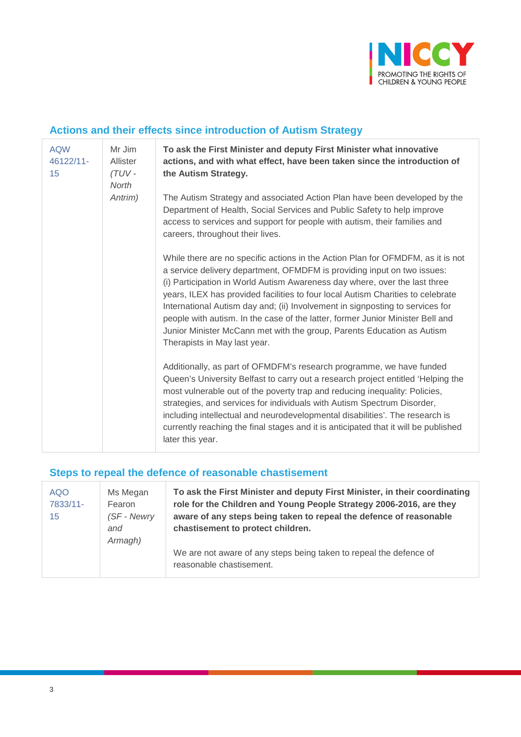

# **Actions and their effects since introduction of Autism Strategy**

| <b>AQW</b><br>46122/11-<br>15 | Mr Jim<br>Allister<br>(TUV-<br>North | To ask the First Minister and deputy First Minister what innovative<br>actions, and with what effect, have been taken since the introduction of<br>the Autism Strategy.                                                                                                                                                                                                                                                                                                                                                                                                                                  |
|-------------------------------|--------------------------------------|----------------------------------------------------------------------------------------------------------------------------------------------------------------------------------------------------------------------------------------------------------------------------------------------------------------------------------------------------------------------------------------------------------------------------------------------------------------------------------------------------------------------------------------------------------------------------------------------------------|
|                               | Antrim)                              | The Autism Strategy and associated Action Plan have been developed by the<br>Department of Health, Social Services and Public Safety to help improve<br>access to services and support for people with autism, their families and<br>careers, throughout their lives.                                                                                                                                                                                                                                                                                                                                    |
|                               |                                      | While there are no specific actions in the Action Plan for OFMDFM, as it is not<br>a service delivery department, OFMDFM is providing input on two issues:<br>(i) Participation in World Autism Awareness day where, over the last three<br>years, ILEX has provided facilities to four local Autism Charities to celebrate<br>International Autism day and; (ii) Involvement in signposting to services for<br>people with autism. In the case of the latter, former Junior Minister Bell and<br>Junior Minister McCann met with the group, Parents Education as Autism<br>Therapists in May last year. |
|                               |                                      | Additionally, as part of OFMDFM's research programme, we have funded<br>Queen's University Belfast to carry out a research project entitled 'Helping the<br>most vulnerable out of the poverty trap and reducing inequality: Policies,<br>strategies, and services for individuals with Autism Spectrum Disorder,<br>including intellectual and neurodevelopmental disabilities'. The research is<br>currently reaching the final stages and it is anticipated that it will be published<br>later this year.                                                                                             |

## **Steps to repeal the defence of reasonable chastisement**

| <b>AQO</b><br>7833/11-<br>15 | Ms Megan<br>Fearon<br>(SF - Newry | To ask the First Minister and deputy First Minister, in their coordinating<br>role for the Children and Young People Strategy 2006-2016, are they<br>aware of any steps being taken to repeal the defence of reasonable |
|------------------------------|-----------------------------------|-------------------------------------------------------------------------------------------------------------------------------------------------------------------------------------------------------------------------|
|                              | and                               | chastisement to protect children.                                                                                                                                                                                       |
|                              | Armagh)                           |                                                                                                                                                                                                                         |
|                              |                                   | We are not aware of any steps being taken to repeal the defence of<br>reasonable chastisement.                                                                                                                          |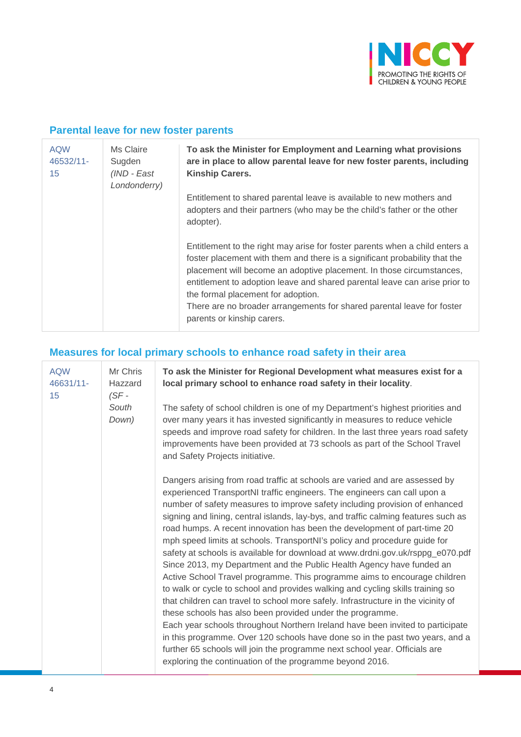

## **Parental leave for new foster parents**

| <b>AQW</b><br>46532/11-<br>15 | Ms Claire<br>Sugden<br>(IND - East<br>Londonderry) | To ask the Minister for Employment and Learning what provisions<br>are in place to allow parental leave for new foster parents, including<br><b>Kinship Carers.</b>                                                                                                                                                                                                                                                                                           |
|-------------------------------|----------------------------------------------------|---------------------------------------------------------------------------------------------------------------------------------------------------------------------------------------------------------------------------------------------------------------------------------------------------------------------------------------------------------------------------------------------------------------------------------------------------------------|
|                               |                                                    | Entitlement to shared parental leave is available to new mothers and<br>adopters and their partners (who may be the child's father or the other<br>adopter).                                                                                                                                                                                                                                                                                                  |
|                               |                                                    | Entitlement to the right may arise for foster parents when a child enters a<br>foster placement with them and there is a significant probability that the<br>placement will become an adoptive placement. In those circumstances,<br>entitlement to adoption leave and shared parental leave can arise prior to<br>the formal placement for adoption.<br>There are no broader arrangements for shared parental leave for foster<br>parents or kinship carers. |

# **Measures for local primary schools to enhance road safety in their area**

| <b>AQW</b><br>46631/11-<br>15 | Mr Chris<br>Hazzard<br>$(SF -$ | To ask the Minister for Regional Development what measures exist for a<br>local primary school to enhance road safety in their locality.                                                                                                                                                                                                                                                                                                                                                                                                                                                                                                                                                                                                                                                                                                                                                                                                                                                                                                                                                                                                                                                                                                                                       |
|-------------------------------|--------------------------------|--------------------------------------------------------------------------------------------------------------------------------------------------------------------------------------------------------------------------------------------------------------------------------------------------------------------------------------------------------------------------------------------------------------------------------------------------------------------------------------------------------------------------------------------------------------------------------------------------------------------------------------------------------------------------------------------------------------------------------------------------------------------------------------------------------------------------------------------------------------------------------------------------------------------------------------------------------------------------------------------------------------------------------------------------------------------------------------------------------------------------------------------------------------------------------------------------------------------------------------------------------------------------------|
|                               | South<br>Down)                 | The safety of school children is one of my Department's highest priorities and<br>over many years it has invested significantly in measures to reduce vehicle<br>speeds and improve road safety for children. In the last three years road safety<br>improvements have been provided at 73 schools as part of the School Travel<br>and Safety Projects initiative.                                                                                                                                                                                                                                                                                                                                                                                                                                                                                                                                                                                                                                                                                                                                                                                                                                                                                                             |
|                               |                                | Dangers arising from road traffic at schools are varied and are assessed by<br>experienced TransportNI traffic engineers. The engineers can call upon a<br>number of safety measures to improve safety including provision of enhanced<br>signing and lining, central islands, lay-bys, and traffic calming features such as<br>road humps. A recent innovation has been the development of part-time 20<br>mph speed limits at schools. TransportNI's policy and procedure guide for<br>safety at schools is available for download at www.drdni.gov.uk/rsppg_e070.pdf<br>Since 2013, my Department and the Public Health Agency have funded an<br>Active School Travel programme. This programme aims to encourage children<br>to walk or cycle to school and provides walking and cycling skills training so<br>that children can travel to school more safely. Infrastructure in the vicinity of<br>these schools has also been provided under the programme.<br>Each year schools throughout Northern Ireland have been invited to participate<br>in this programme. Over 120 schools have done so in the past two years, and a<br>further 65 schools will join the programme next school year. Officials are<br>exploring the continuation of the programme beyond 2016. |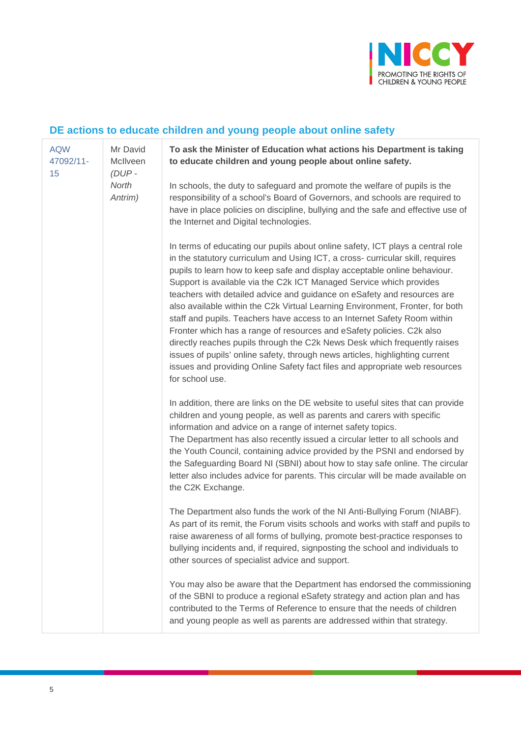

# **DE actions to educate children and young people about online safety**

| <b>AQW</b><br>47092/11-<br>15 | Mr David<br>McIlveen<br>$(DUP -$ | To ask the Minister of Education what actions his Department is taking<br>to educate children and young people about online safety.                                                                                                                                                                                                                                                                                                                                                                                                                                                                                                                                                                                                                                                                                                                                                                  |
|-------------------------------|----------------------------------|------------------------------------------------------------------------------------------------------------------------------------------------------------------------------------------------------------------------------------------------------------------------------------------------------------------------------------------------------------------------------------------------------------------------------------------------------------------------------------------------------------------------------------------------------------------------------------------------------------------------------------------------------------------------------------------------------------------------------------------------------------------------------------------------------------------------------------------------------------------------------------------------------|
|                               | North<br>Antrim)                 | In schools, the duty to safeguard and promote the welfare of pupils is the<br>responsibility of a school's Board of Governors, and schools are required to<br>have in place policies on discipline, bullying and the safe and effective use of<br>the Internet and Digital technologies.                                                                                                                                                                                                                                                                                                                                                                                                                                                                                                                                                                                                             |
|                               |                                  | In terms of educating our pupils about online safety, ICT plays a central role<br>in the statutory curriculum and Using ICT, a cross- curricular skill, requires<br>pupils to learn how to keep safe and display acceptable online behaviour.<br>Support is available via the C2k ICT Managed Service which provides<br>teachers with detailed advice and guidance on eSafety and resources are<br>also available within the C2k Virtual Learning Environment, Fronter, for both<br>staff and pupils. Teachers have access to an Internet Safety Room within<br>Fronter which has a range of resources and eSafety policies. C2k also<br>directly reaches pupils through the C2k News Desk which frequently raises<br>issues of pupils' online safety, through news articles, highlighting current<br>issues and providing Online Safety fact files and appropriate web resources<br>for school use. |
|                               |                                  | In addition, there are links on the DE website to useful sites that can provide<br>children and young people, as well as parents and carers with specific<br>information and advice on a range of internet safety topics.<br>The Department has also recently issued a circular letter to all schools and<br>the Youth Council, containing advice provided by the PSNI and endorsed by<br>the Safeguarding Board NI (SBNI) about how to stay safe online. The circular<br>letter also includes advice for parents. This circular will be made available on<br>the C2K Exchange.                                                                                                                                                                                                                                                                                                                      |
|                               |                                  | The Department also funds the work of the NI Anti-Bullying Forum (NIABF).<br>As part of its remit, the Forum visits schools and works with staff and pupils to<br>raise awareness of all forms of bullying, promote best-practice responses to<br>bullying incidents and, if required, signposting the school and individuals to<br>other sources of specialist advice and support.                                                                                                                                                                                                                                                                                                                                                                                                                                                                                                                  |
|                               |                                  | You may also be aware that the Department has endorsed the commissioning<br>of the SBNI to produce a regional eSafety strategy and action plan and has<br>contributed to the Terms of Reference to ensure that the needs of children<br>and young people as well as parents are addressed within that strategy.                                                                                                                                                                                                                                                                                                                                                                                                                                                                                                                                                                                      |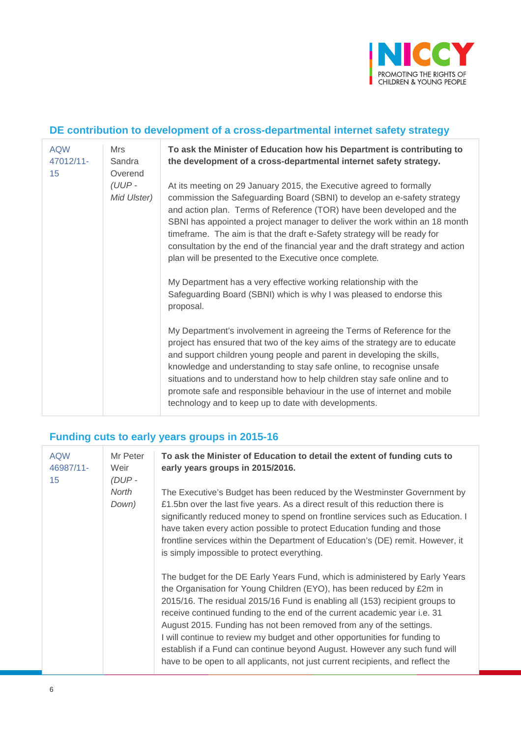

### **DE contribution to development of a cross-departmental internet safety strategy**

| <b>AQW</b><br>47012/11-<br>15 | Mrs<br>Sandra<br>Overend | To ask the Minister of Education how his Department is contributing to<br>the development of a cross-departmental internet safety strategy.                                                                                                                                                                                                                                                                                                                                                                                                                                                          |
|-------------------------------|--------------------------|------------------------------------------------------------------------------------------------------------------------------------------------------------------------------------------------------------------------------------------------------------------------------------------------------------------------------------------------------------------------------------------------------------------------------------------------------------------------------------------------------------------------------------------------------------------------------------------------------|
|                               | $(UUP -$<br>Mid Ulster)  | At its meeting on 29 January 2015, the Executive agreed to formally<br>commission the Safeguarding Board (SBNI) to develop an e-safety strategy<br>and action plan. Terms of Reference (TOR) have been developed and the<br>SBNI has appointed a project manager to deliver the work within an 18 month<br>timeframe. The aim is that the draft e-Safety strategy will be ready for<br>consultation by the end of the financial year and the draft strategy and action<br>plan will be presented to the Executive once complete.<br>My Department has a very effective working relationship with the |
|                               |                          | Safeguarding Board (SBNI) which is why I was pleased to endorse this<br>proposal.                                                                                                                                                                                                                                                                                                                                                                                                                                                                                                                    |
|                               |                          | My Department's involvement in agreeing the Terms of Reference for the<br>project has ensured that two of the key aims of the strategy are to educate<br>and support children young people and parent in developing the skills,<br>knowledge and understanding to stay safe online, to recognise unsafe<br>situations and to understand how to help children stay safe online and to<br>promote safe and responsible behaviour in the use of internet and mobile<br>technology and to keep up to date with developments.                                                                             |

### **Funding cuts to early years groups in 2015-16**

| <b>AQW</b><br>46987/11-<br>15 | Mr Peter<br>Weir<br>$(DUP -$ | To ask the Minister of Education to detail the extent of funding cuts to<br>early years groups in 2015/2016.                                                                                                                                                                                                                                                                                                                                                                                                                                                                                                                             |
|-------------------------------|------------------------------|------------------------------------------------------------------------------------------------------------------------------------------------------------------------------------------------------------------------------------------------------------------------------------------------------------------------------------------------------------------------------------------------------------------------------------------------------------------------------------------------------------------------------------------------------------------------------------------------------------------------------------------|
|                               | North<br>Down)               | The Executive's Budget has been reduced by the Westminster Government by<br>£1.5bn over the last five years. As a direct result of this reduction there is<br>significantly reduced money to spend on frontline services such as Education. I<br>have taken every action possible to protect Education funding and those<br>frontline services within the Department of Education's (DE) remit. However, it<br>is simply impossible to protect everything.                                                                                                                                                                               |
|                               |                              | The budget for the DE Early Years Fund, which is administered by Early Years<br>the Organisation for Young Children (EYO), has been reduced by £2m in<br>2015/16. The residual 2015/16 Fund is enabling all (153) recipient groups to<br>receive continued funding to the end of the current academic year i.e. 31<br>August 2015. Funding has not been removed from any of the settings.<br>I will continue to review my budget and other opportunities for funding to<br>establish if a Fund can continue beyond August. However any such fund will<br>have to be open to all applicants, not just current recipients, and reflect the |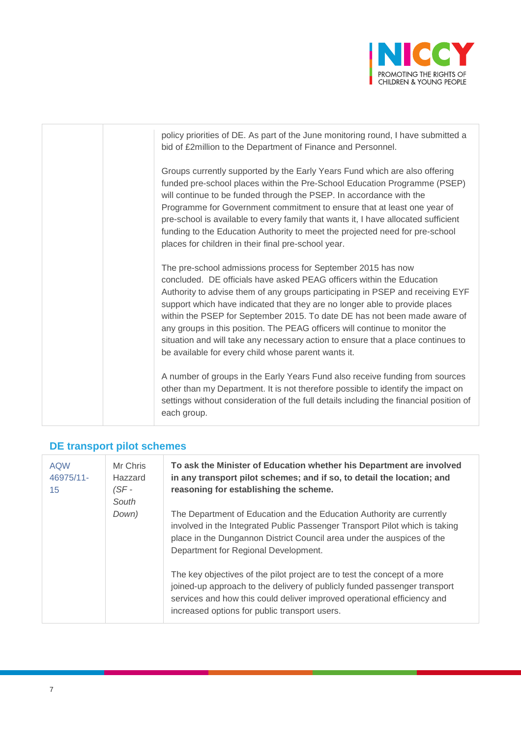

policy priorities of DE. As part of the June monitoring round, I have submitted a bid of £2million to the Department of Finance and Personnel.

Groups currently supported by the Early Years Fund which are also offering funded pre-school places within the Pre-School Education Programme (PSEP) will continue to be funded through the PSEP. In accordance with the Programme for Government commitment to ensure that at least one year of pre-school is available to every family that wants it, I have allocated sufficient funding to the Education Authority to meet the projected need for pre-school places for children in their final pre-school year.

The pre-school admissions process for September 2015 has now concluded. DE officials have asked PEAG officers within the Education Authority to advise them of any groups participating in PSEP and receiving EYF support which have indicated that they are no longer able to provide places within the PSEP for September 2015. To date DE has not been made aware of any groups in this position. The PEAG officers will continue to monitor the situation and will take any necessary action to ensure that a place continues to be available for every child whose parent wants it.

A number of groups in the Early Years Fund also receive funding from sources other than my Department. It is not therefore possible to identify the impact on settings without consideration of the full details including the financial position of each group.

#### **DE transport pilot schemes**

| <b>AQW</b><br>46975/11-<br>15 | Mr Chris<br>Hazzard<br>(SF -<br>South | To ask the Minister of Education whether his Department are involved<br>in any transport pilot schemes; and if so, to detail the location; and<br>reasoning for establishing the scheme.                                                                                           |
|-------------------------------|---------------------------------------|------------------------------------------------------------------------------------------------------------------------------------------------------------------------------------------------------------------------------------------------------------------------------------|
|                               | Down)                                 | The Department of Education and the Education Authority are currently<br>involved in the Integrated Public Passenger Transport Pilot which is taking<br>place in the Dungannon District Council area under the auspices of the<br>Department for Regional Development.             |
|                               |                                       | The key objectives of the pilot project are to test the concept of a more<br>joined-up approach to the delivery of publicly funded passenger transport<br>services and how this could deliver improved operational efficiency and<br>increased options for public transport users. |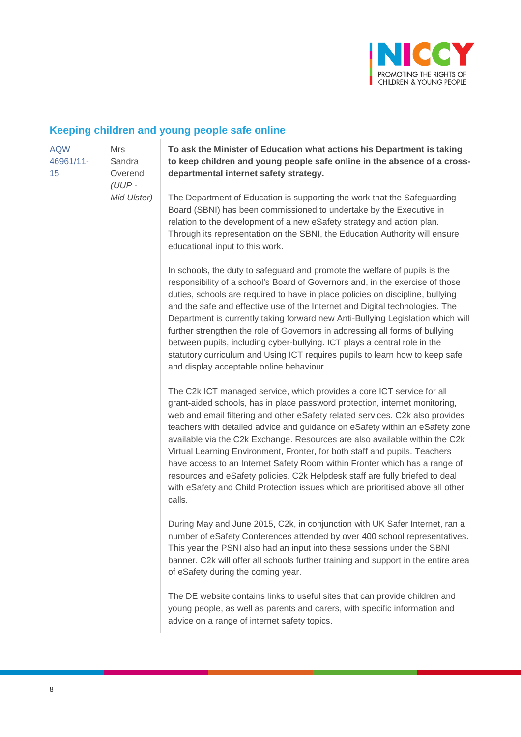

### **Keeping children and young people safe online**

[AQW](javascript:__doPostBack()  [46961/11-](javascript:__doPostBack() [15](javascript:__doPostBack() Mrs Sandra **Overend** *(UUP - Mid Ulster)* **To ask the Minister of Education what actions his Department is taking to keep children and young people safe online in the absence of a crossdepartmental internet safety strategy.** The Department of Education is supporting the work that the Safeguarding Board (SBNI) has been commissioned to undertake by the Executive in relation to the development of a new eSafety strategy and action plan. Through its representation on the SBNI, the Education Authority will ensure educational input to this work. In schools, the duty to safeguard and promote the welfare of pupils is the responsibility of a school's Board of Governors and, in the exercise of those duties, schools are required to have in place policies on discipline, bullying and the safe and effective use of the Internet and Digital technologies. The Department is currently taking forward new Anti-Bullying Legislation which will further strengthen the role of Governors in addressing all forms of bullying between pupils, including cyber-bullying. ICT plays a central role in the statutory curriculum and Using ICT requires pupils to learn how to keep safe and display acceptable online behaviour. The C2k ICT managed service, which provides a core ICT service for all grant-aided schools, has in place password protection, internet monitoring, web and email filtering and other eSafety related services. C2k also provides teachers with detailed advice and guidance on eSafety within an eSafety zone available via the C2k Exchange. Resources are also available within the C2k Virtual Learning Environment, Fronter, for both staff and pupils. Teachers have access to an Internet Safety Room within Fronter which has a range of resources and eSafety policies. C2k Helpdesk staff are fully briefed to deal with eSafety and Child Protection issues which are prioritised above all other calls. During May and June 2015, C2k, in conjunction with UK Safer Internet, ran a number of eSafety Conferences attended by over 400 school representatives. This year the PSNI also had an input into these sessions under the SBNI banner. C2k will offer all schools further training and support in the entire area of eSafety during the coming year. The DE website contains links to useful sites that can provide children and young people, as well as parents and carers, with specific information and advice on a range of internet safety topics.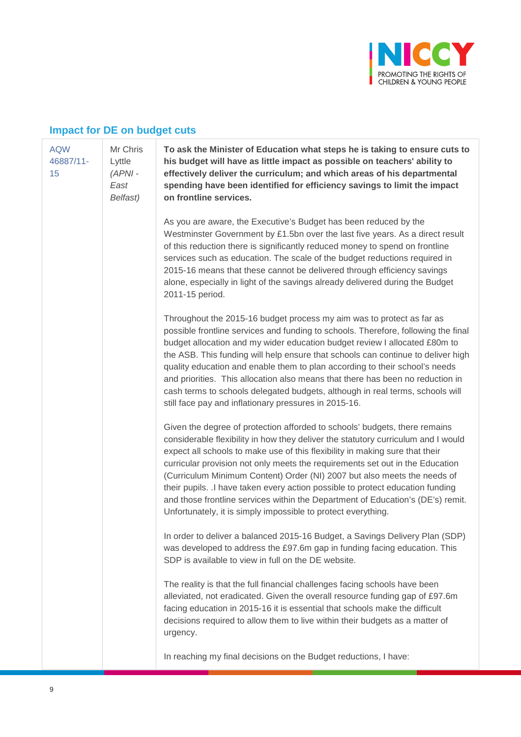

#### **Impact for DE on budget cuts**

Mr Chris Lyttle

#### [AQW](javascript:__doPostBack()  [46887/11-](javascript:__doPostBack() [15](javascript:__doPostBack()

*(APNI - East Belfast)* **To ask the Minister of Education what steps he is taking to ensure cuts to his budget will have as little impact as possible on teachers' ability to effectively deliver the curriculum; and which areas of his departmental spending have been identified for efficiency savings to limit the impact on frontline services.**

As you are aware, the Executive's Budget has been reduced by the Westminster Government by £1.5bn over the last five years. As a direct result of this reduction there is significantly reduced money to spend on frontline services such as education. The scale of the budget reductions required in 2015-16 means that these cannot be delivered through efficiency savings alone, especially in light of the savings already delivered during the Budget 2011-15 period.

Throughout the 2015-16 budget process my aim was to protect as far as possible frontline services and funding to schools. Therefore, following the final budget allocation and my wider education budget review I allocated £80m to the ASB. This funding will help ensure that schools can continue to deliver high quality education and enable them to plan according to their school's needs and priorities. This allocation also means that there has been no reduction in cash terms to schools delegated budgets, although in real terms, schools will still face pay and inflationary pressures in 2015-16.

Given the degree of protection afforded to schools' budgets, there remains considerable flexibility in how they deliver the statutory curriculum and I would expect all schools to make use of this flexibility in making sure that their curricular provision not only meets the requirements set out in the Education (Curriculum Minimum Content) Order (NI) 2007 but also meets the needs of their pupils. .I have taken every action possible to protect education funding and those frontline services within the Department of Education's (DE's) remit. Unfortunately, it is simply impossible to protect everything.

In order to deliver a balanced 2015-16 Budget, a Savings Delivery Plan (SDP) was developed to address the £97.6m gap in funding facing education. This SDP is available to view in full on the DE website.

The reality is that the full financial challenges facing schools have been alleviated, not eradicated. Given the overall resource funding gap of £97.6m facing education in 2015-16 it is essential that schools make the difficult decisions required to allow them to live within their budgets as a matter of urgency.

In reaching my final decisions on the Budget reductions, I have: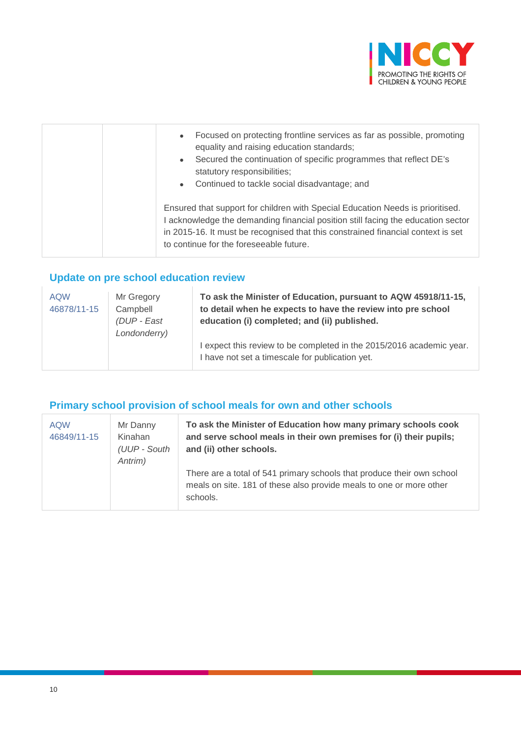

| Focused on protecting frontline services as far as possible, promoting<br>$\bullet$<br>equality and raising education standards;<br>Secured the continuation of specific programmes that reflect DE's<br>$\bullet$<br>statutory responsibilities;<br>Continued to tackle social disadvantage; and<br>$\bullet$ |
|----------------------------------------------------------------------------------------------------------------------------------------------------------------------------------------------------------------------------------------------------------------------------------------------------------------|
| Ensured that support for children with Special Education Needs is prioritised.<br>acknowledge the demanding financial position still facing the education sector<br>in 2015-16. It must be recognised that this constrained financial context is set<br>to continue for the foreseeable future.                |

# **Update on pre school education review**

| <b>AQW</b><br>46878/11-15 | Mr Gregory<br>Campbell<br>(DUP - East<br>Londonderry) | To ask the Minister of Education, pursuant to AQW 45918/11-15,<br>to detail when he expects to have the review into pre school<br>education (i) completed; and (ii) published.<br>I expect this review to be completed in the 2015/2016 academic year. |
|---------------------------|-------------------------------------------------------|--------------------------------------------------------------------------------------------------------------------------------------------------------------------------------------------------------------------------------------------------------|
|                           |                                                       | I have not set a timescale for publication yet.                                                                                                                                                                                                        |

# **Primary school provision of school meals for own and other schools**

| <b>AQW</b><br>46849/11-15 | Mr Danny<br>Kinahan<br>(UUP - South<br>Antrim) | To ask the Minister of Education how many primary schools cook<br>and serve school meals in their own premises for (i) their pupils;<br>and (ii) other schools. |
|---------------------------|------------------------------------------------|-----------------------------------------------------------------------------------------------------------------------------------------------------------------|
|                           |                                                | There are a total of 541 primary schools that produce their own school<br>meals on site. 181 of these also provide meals to one or more other<br>schools.       |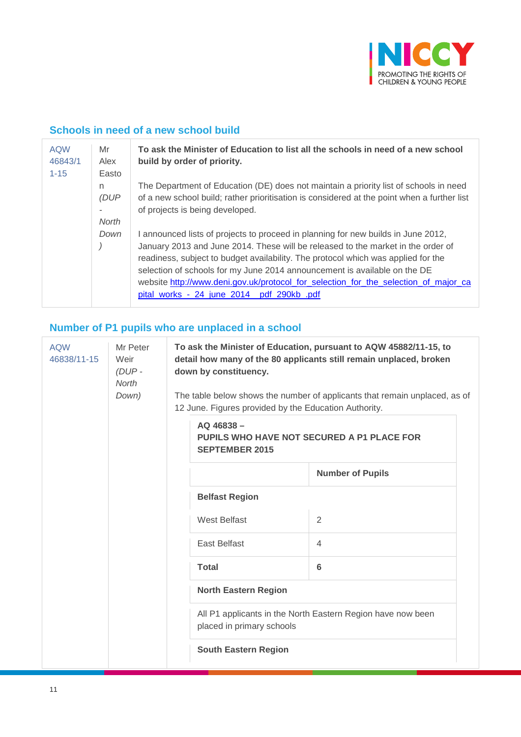

# **Schools in need of a new school build**

| <b>AQW</b><br>46843/1<br>$1 - 15$ | Mr<br>Alex<br>Easto  | To ask the Minister of Education to list all the schools in need of a new school<br>build by order of priority.                                                                                                                                                                                                                                                                                                                                                            |
|-----------------------------------|----------------------|----------------------------------------------------------------------------------------------------------------------------------------------------------------------------------------------------------------------------------------------------------------------------------------------------------------------------------------------------------------------------------------------------------------------------------------------------------------------------|
|                                   | n.<br>(DUP)<br>North | The Department of Education (DE) does not maintain a priority list of schools in need<br>of a new school build; rather prioritisation is considered at the point when a further list<br>of projects is being developed.                                                                                                                                                                                                                                                    |
|                                   | Down                 | announced lists of projects to proceed in planning for new builds in June 2012,<br>January 2013 and June 2014. These will be released to the market in the order of<br>readiness, subject to budget availability. The protocol which was applied for the<br>selection of schools for my June 2014 announcement is available on the DE<br>website http://www.deni.gov.uk/protocol for selection for the selection of major ca<br>pital_works_-_24_june_2014__pdf_290kb_.pdf |

# **Number of P1 pupils who are unplaced in a school**

| <b>AQW</b><br>46838/11-15 | Mr Peter<br>Weir<br>$(DUP -$<br>North<br>Down) | To ask the Minister of Education, pursuant to AQW 45882/11-15, to<br>detail how many of the 80 applicants still remain unplaced, broken<br>down by constituency.<br>The table below shows the number of applicants that remain unplaced, as of<br>12 June. Figures provided by the Education Authority. |                                                                                          |                         |  |
|---------------------------|------------------------------------------------|---------------------------------------------------------------------------------------------------------------------------------------------------------------------------------------------------------------------------------------------------------------------------------------------------------|------------------------------------------------------------------------------------------|-------------------------|--|
|                           |                                                |                                                                                                                                                                                                                                                                                                         | AQ 46838-<br><b>PUPILS WHO HAVE NOT SECURED A P1 PLACE FOR</b><br><b>SEPTEMBER 2015</b>  |                         |  |
|                           |                                                |                                                                                                                                                                                                                                                                                                         |                                                                                          | <b>Number of Pupils</b> |  |
|                           |                                                |                                                                                                                                                                                                                                                                                                         | <b>Belfast Region</b>                                                                    |                         |  |
|                           |                                                |                                                                                                                                                                                                                                                                                                         | West Belfast                                                                             | 2                       |  |
|                           |                                                |                                                                                                                                                                                                                                                                                                         | East Belfast                                                                             | 4                       |  |
|                           |                                                |                                                                                                                                                                                                                                                                                                         | <b>Total</b>                                                                             | 6                       |  |
|                           |                                                |                                                                                                                                                                                                                                                                                                         | <b>North Eastern Region</b>                                                              |                         |  |
|                           |                                                |                                                                                                                                                                                                                                                                                                         | All P1 applicants in the North Eastern Region have now been<br>placed in primary schools |                         |  |
|                           |                                                |                                                                                                                                                                                                                                                                                                         | <b>South Eastern Region</b>                                                              |                         |  |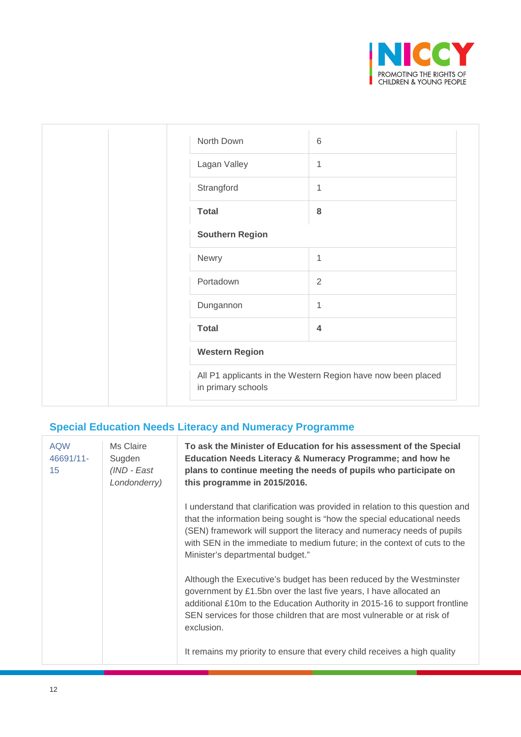

| North Down             | $6\phantom{1}6$                                              |
|------------------------|--------------------------------------------------------------|
| Lagan Valley           | $\mathbf{1}$                                                 |
| Strangford             | 1                                                            |
| <b>Total</b>           | 8                                                            |
| <b>Southern Region</b> |                                                              |
| Newry                  | $\mathbf{1}$                                                 |
| Portadown              | $\overline{2}$                                               |
| Dungannon              | $\mathbf{1}$                                                 |
| <b>Total</b>           | $\overline{4}$                                               |
| <b>Western Region</b>  |                                                              |
| in primary schools     | All P1 applicants in the Western Region have now been placed |
|                        |                                                              |

# **Special Education Needs Literacy and Numeracy Programme**

| <b>AQW</b><br>46691/11-<br>15 | Ms Claire<br>Sugden<br>(IND - East<br>Londonderry) | To ask the Minister of Education for his assessment of the Special<br>Education Needs Literacy & Numeracy Programme; and how he<br>plans to continue meeting the needs of pupils who participate on<br>this programme in 2015/2016.                                                                                                                 |
|-------------------------------|----------------------------------------------------|-----------------------------------------------------------------------------------------------------------------------------------------------------------------------------------------------------------------------------------------------------------------------------------------------------------------------------------------------------|
|                               |                                                    | I understand that clarification was provided in relation to this question and<br>that the information being sought is "how the special educational needs<br>(SEN) framework will support the literacy and numeracy needs of pupils<br>with SEN in the immediate to medium future; in the context of cuts to the<br>Minister's departmental budget." |
|                               |                                                    | Although the Executive's budget has been reduced by the Westminster<br>government by £1.5bn over the last five years, I have allocated an<br>additional £10m to the Education Authority in 2015-16 to support frontline<br>SEN services for those children that are most vulnerable or at risk of<br>exclusion.                                     |
|                               |                                                    | It remains my priority to ensure that every child receives a high quality                                                                                                                                                                                                                                                                           |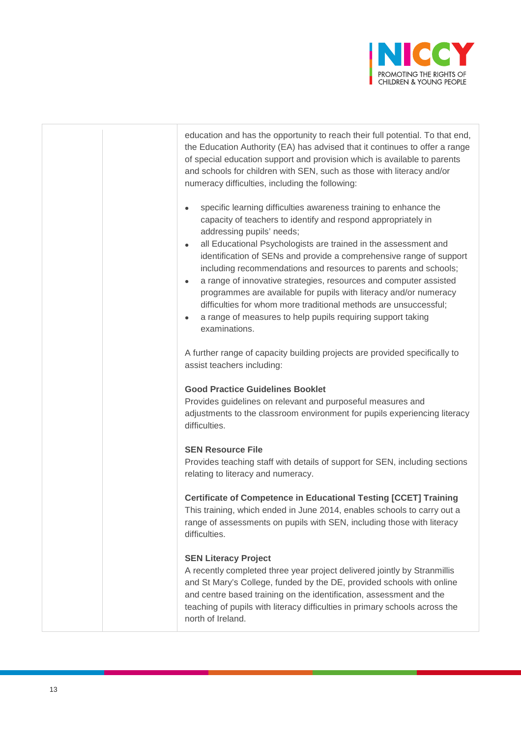

education and has the opportunity to reach their full potential. To that end, the Education Authority (EA) has advised that it continues to offer a range of special education support and provision which is available to parents and schools for children with SEN, such as those with literacy and/or numeracy difficulties, including the following:

- specific learning difficulties awareness training to enhance the capacity of teachers to identify and respond appropriately in addressing pupils' needs;
- all Educational Psychologists are trained in the assessment and identification of SENs and provide a comprehensive range of support including recommendations and resources to parents and schools;
- a range of innovative strategies, resources and computer assisted programmes are available for pupils with literacy and/or numeracy difficulties for whom more traditional methods are unsuccessful;
- a range of measures to help pupils requiring support taking examinations.

A further range of capacity building projects are provided specifically to assist teachers including:

#### **Good Practice Guidelines Booklet**

Provides guidelines on relevant and purposeful measures and adjustments to the classroom environment for pupils experiencing literacy difficulties.

#### **SEN Resource File**

Provides teaching staff with details of support for SEN, including sections relating to literacy and numeracy.

#### **Certificate of Competence in Educational Testing [CCET] Training**

This training, which ended in June 2014, enables schools to carry out a range of assessments on pupils with SEN, including those with literacy difficulties.

#### **SEN Literacy Project**

A recently completed three year project delivered jointly by Stranmillis and St Mary's College, funded by the DE, provided schools with online and centre based training on the identification, assessment and the teaching of pupils with literacy difficulties in primary schools across the north of Ireland.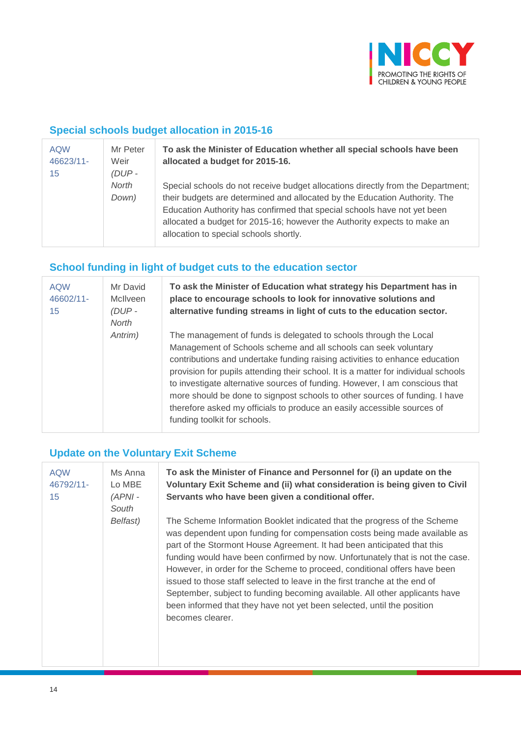

### **Special schools budget allocation in 2015-16**

| <b>AQW</b><br>46623/11-<br>15 | Mr Peter<br>Weir<br>$(DUP -$ | To ask the Minister of Education whether all special schools have been<br>allocated a budget for 2015-16.                                                                                                                                                                                                                                                       |
|-------------------------------|------------------------------|-----------------------------------------------------------------------------------------------------------------------------------------------------------------------------------------------------------------------------------------------------------------------------------------------------------------------------------------------------------------|
|                               | North<br>Down)               | Special schools do not receive budget allocations directly from the Department;<br>their budgets are determined and allocated by the Education Authority. The<br>Education Authority has confirmed that special schools have not yet been<br>allocated a budget for 2015-16; however the Authority expects to make an<br>allocation to special schools shortly. |

# **School funding in light of budget cuts to the education sector**

| <b>AQW</b><br>46602/11-<br>15 | Mr David<br>McIlveen<br>$(DUP -$<br>North | To ask the Minister of Education what strategy his Department has in<br>place to encourage schools to look for innovative solutions and<br>alternative funding streams in light of cuts to the education sector.                                                                                                                                                                                                                                                                                                                                                                   |
|-------------------------------|-------------------------------------------|------------------------------------------------------------------------------------------------------------------------------------------------------------------------------------------------------------------------------------------------------------------------------------------------------------------------------------------------------------------------------------------------------------------------------------------------------------------------------------------------------------------------------------------------------------------------------------|
|                               | Antrim)                                   | The management of funds is delegated to schools through the Local<br>Management of Schools scheme and all schools can seek voluntary<br>contributions and undertake funding raising activities to enhance education<br>provision for pupils attending their school. It is a matter for individual schools<br>to investigate alternative sources of funding. However, I am conscious that<br>more should be done to signpost schools to other sources of funding. I have<br>therefore asked my officials to produce an easily accessible sources of<br>funding toolkit for schools. |

# **Update on the Voluntary Exit Scheme**

| <b>AQW</b><br>46792/11-<br>15 | Ms Anna<br>Lo MBE<br>$(APNI -$<br>South | To ask the Minister of Finance and Personnel for (i) an update on the<br>Voluntary Exit Scheme and (ii) what consideration is being given to Civil<br>Servants who have been given a conditional offer.                                                                                                                                                                                                                                                                                                                                                                                                                                                   |
|-------------------------------|-----------------------------------------|-----------------------------------------------------------------------------------------------------------------------------------------------------------------------------------------------------------------------------------------------------------------------------------------------------------------------------------------------------------------------------------------------------------------------------------------------------------------------------------------------------------------------------------------------------------------------------------------------------------------------------------------------------------|
|                               | Belfast)                                | The Scheme Information Booklet indicated that the progress of the Scheme<br>was dependent upon funding for compensation costs being made available as<br>part of the Stormont House Agreement. It had been anticipated that this<br>funding would have been confirmed by now. Unfortunately that is not the case.<br>However, in order for the Scheme to proceed, conditional offers have been<br>issued to those staff selected to leave in the first tranche at the end of<br>September, subject to funding becoming available. All other applicants have<br>been informed that they have not yet been selected, until the position<br>becomes clearer. |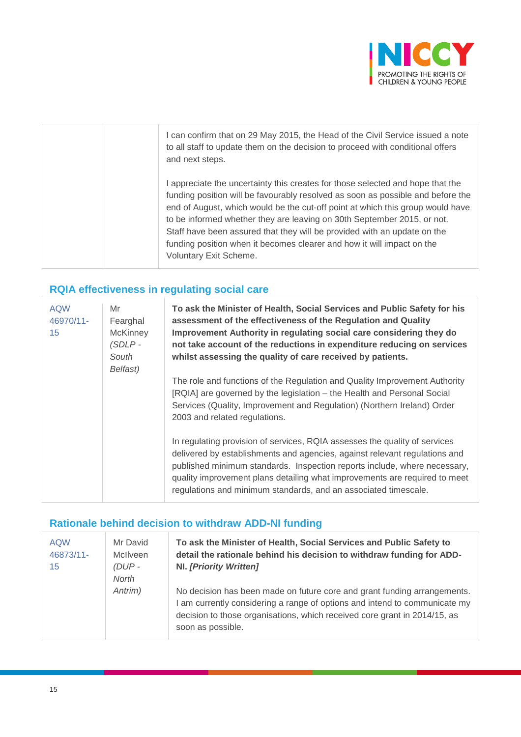

| I can confirm that on 29 May 2015, the Head of the Civil Service issued a note<br>to all staff to update them on the decision to proceed with conditional offers<br>and next steps.                                                                                                                                                                                                                                                                                                                            |
|----------------------------------------------------------------------------------------------------------------------------------------------------------------------------------------------------------------------------------------------------------------------------------------------------------------------------------------------------------------------------------------------------------------------------------------------------------------------------------------------------------------|
| I appreciate the uncertainty this creates for those selected and hope that the<br>funding position will be favourably resolved as soon as possible and before the<br>end of August, which would be the cut-off point at which this group would have<br>to be informed whether they are leaving on 30th September 2015, or not.<br>Staff have been assured that they will be provided with an update on the<br>funding position when it becomes clearer and how it will impact on the<br>Voluntary Exit Scheme. |

# **RQIA effectiveness in regulating social care**

| <b>AQW</b><br>46970/11-<br>15 | Mr<br>Fearghal<br><b>McKinney</b><br>$(SDLP -$<br>South<br>Belfast) | To ask the Minister of Health, Social Services and Public Safety for his<br>assessment of the effectiveness of the Regulation and Quality<br>Improvement Authority in regulating social care considering they do<br>not take account of the reductions in expenditure reducing on services<br>whilst assessing the quality of care received by patients.                               |
|-------------------------------|---------------------------------------------------------------------|----------------------------------------------------------------------------------------------------------------------------------------------------------------------------------------------------------------------------------------------------------------------------------------------------------------------------------------------------------------------------------------|
|                               |                                                                     | The role and functions of the Regulation and Quality Improvement Authority<br>[RQIA] are governed by the legislation - the Health and Personal Social<br>Services (Quality, Improvement and Regulation) (Northern Ireland) Order<br>2003 and related regulations.                                                                                                                      |
|                               |                                                                     | In regulating provision of services, RQIA assesses the quality of services<br>delivered by establishments and agencies, against relevant regulations and<br>published minimum standards. Inspection reports include, where necessary,<br>quality improvement plans detailing what improvements are required to meet<br>regulations and minimum standards, and an associated timescale. |

### **Rationale behind decision to withdraw ADD-NI funding**

| <b>AQW</b><br>46873/11-<br>15 | Mr David<br><b>McIlveen</b><br>$(DUP -$<br>North | To ask the Minister of Health, Social Services and Public Safety to<br>detail the rationale behind his decision to withdraw funding for ADD-<br><b>NI.</b> [Priority Written]                                                                            |
|-------------------------------|--------------------------------------------------|----------------------------------------------------------------------------------------------------------------------------------------------------------------------------------------------------------------------------------------------------------|
|                               | Antrim)                                          | No decision has been made on future core and grant funding arrangements.<br>I am currently considering a range of options and intend to communicate my<br>decision to those organisations, which received core grant in 2014/15, as<br>soon as possible. |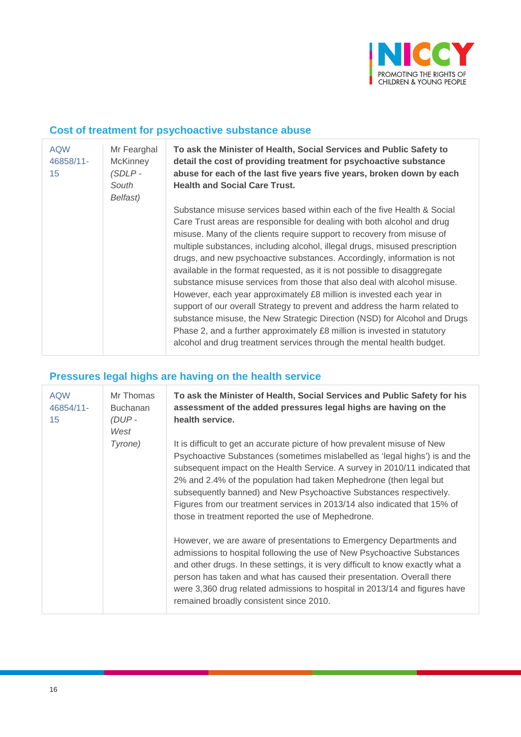

### **Cost of treatment for psychoactive substance abuse**

| <b>AQW</b><br>46858/11-<br>15 | Mr Fearghal<br><b>McKinney</b><br>(SDLP-<br>South<br>Belfast) | To ask the Minister of Health, Social Services and Public Safety to<br>detail the cost of providing treatment for psychoactive substance<br>abuse for each of the last five years five years, broken down by each<br><b>Health and Social Care Trust.</b>                                                                                                                                                                                                                                                                                                                                                                                                                                                                                                                                                                                                                                                                              |
|-------------------------------|---------------------------------------------------------------|----------------------------------------------------------------------------------------------------------------------------------------------------------------------------------------------------------------------------------------------------------------------------------------------------------------------------------------------------------------------------------------------------------------------------------------------------------------------------------------------------------------------------------------------------------------------------------------------------------------------------------------------------------------------------------------------------------------------------------------------------------------------------------------------------------------------------------------------------------------------------------------------------------------------------------------|
|                               |                                                               | Substance misuse services based within each of the five Health & Social<br>Care Trust areas are responsible for dealing with both alcohol and drug<br>misuse. Many of the clients require support to recovery from misuse of<br>multiple substances, including alcohol, illegal drugs, misused prescription<br>drugs, and new psychoactive substances. Accordingly, information is not<br>available in the format requested, as it is not possible to disaggregate<br>substance misuse services from those that also deal with alcohol misuse.<br>However, each year approximately £8 million is invested each year in<br>support of our overall Strategy to prevent and address the harm related to<br>substance misuse, the New Strategic Direction (NSD) for Alcohol and Drugs<br>Phase 2, and a further approximately £8 million is invested in statutory<br>alcohol and drug treatment services through the mental health budget. |

# **Pressures legal highs are having on the health service**

| <b>AQW</b><br>46854/11-<br>15 | Mr Thomas<br><b>Buchanan</b><br>$(DUP -$<br>West | To ask the Minister of Health, Social Services and Public Safety for his<br>assessment of the added pressures legal highs are having on the<br>health service.                                                                                                                                                                                                                                                                                                                                                         |
|-------------------------------|--------------------------------------------------|------------------------------------------------------------------------------------------------------------------------------------------------------------------------------------------------------------------------------------------------------------------------------------------------------------------------------------------------------------------------------------------------------------------------------------------------------------------------------------------------------------------------|
|                               | Tyrone)                                          | It is difficult to get an accurate picture of how prevalent misuse of New<br>Psychoactive Substances (sometimes mislabelled as 'legal highs') is and the<br>subsequent impact on the Health Service. A survey in 2010/11 indicated that<br>2% and 2.4% of the population had taken Mephedrone (then legal but<br>subsequently banned) and New Psychoactive Substances respectively.<br>Figures from our treatment services in 2013/14 also indicated that 15% of<br>those in treatment reported the use of Mephedrone. |
|                               |                                                  | However, we are aware of presentations to Emergency Departments and<br>admissions to hospital following the use of New Psychoactive Substances<br>and other drugs. In these settings, it is very difficult to know exactly what a<br>person has taken and what has caused their presentation. Overall there<br>were 3,360 drug related admissions to hospital in 2013/14 and figures have<br>remained broadly consistent since 2010.                                                                                   |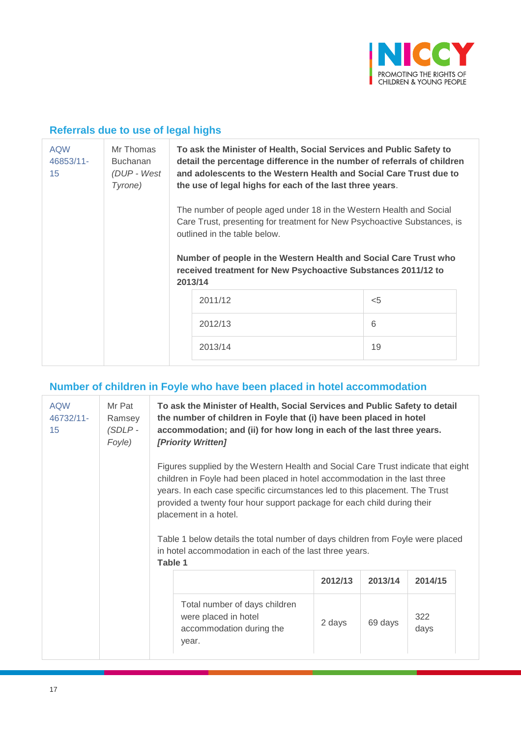

# **Referrals due to use of legal highs**

| <b>AQW</b><br>46853/11-<br>15 | Mr Thomas<br><b>Buchanan</b><br>(DUP - West<br>Tyrone) | To ask the Minister of Health, Social Services and Public Safety to<br>detail the percentage difference in the number of referrals of children<br>and adolescents to the Western Health and Social Care Trust due to<br>the use of legal highs for each of the last three years.                                                |       |
|-------------------------------|--------------------------------------------------------|---------------------------------------------------------------------------------------------------------------------------------------------------------------------------------------------------------------------------------------------------------------------------------------------------------------------------------|-------|
|                               |                                                        | The number of people aged under 18 in the Western Health and Social<br>Care Trust, presenting for treatment for New Psychoactive Substances, is<br>outlined in the table below.<br>Number of people in the Western Health and Social Care Trust who<br>received treatment for New Psychoactive Substances 2011/12 to<br>2013/14 |       |
|                               |                                                        | 2011/12                                                                                                                                                                                                                                                                                                                         | $<$ 5 |
|                               |                                                        | 2012/13                                                                                                                                                                                                                                                                                                                         | 6     |
|                               |                                                        | 2013/14                                                                                                                                                                                                                                                                                                                         | 19    |

## **Number of children in Foyle who have been placed in hotel accommodation**

| <b>AQW</b><br>46732/11-<br>15 | Mr Pat<br>Ramsey<br>$(SDLP -$<br>Foyle) | To ask the Minister of Health, Social Services and Public Safety to detail<br>the number of children in Foyle that (i) have been placed in hotel<br>accommodation; and (ii) for how long in each of the last three years.<br>[Priority Written]                                                                                                                                                                                                                                                           |         |         |             |
|-------------------------------|-----------------------------------------|-----------------------------------------------------------------------------------------------------------------------------------------------------------------------------------------------------------------------------------------------------------------------------------------------------------------------------------------------------------------------------------------------------------------------------------------------------------------------------------------------------------|---------|---------|-------------|
|                               |                                         | Figures supplied by the Western Health and Social Care Trust indicate that eight<br>children in Foyle had been placed in hotel accommodation in the last three<br>years. In each case specific circumstances led to this placement. The Trust<br>provided a twenty four hour support package for each child during their<br>placement in a hotel.<br>Table 1 below details the total number of days children from Foyle were placed<br>in hotel accommodation in each of the last three years.<br>Table 1 |         |         |             |
|                               |                                         |                                                                                                                                                                                                                                                                                                                                                                                                                                                                                                           | 2012/13 | 2013/14 | 2014/15     |
|                               |                                         | Total number of days children<br>were placed in hotel<br>accommodation during the<br>year.                                                                                                                                                                                                                                                                                                                                                                                                                | 2 days  | 69 days | 322<br>days |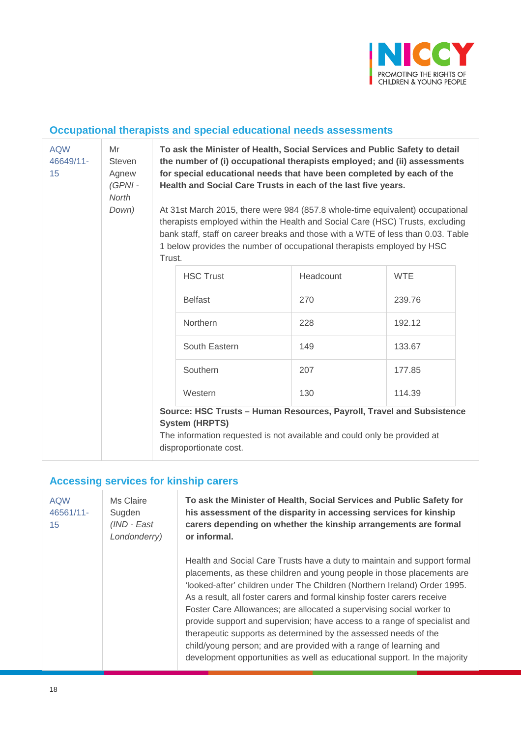

# **Occupational therapists and special educational needs assessments**

| <b>AQW</b><br>46649/11-<br>15 | Mr<br><b>Steven</b><br>Agnew<br>(GPNI-<br>North<br>Down) | To ask the Minister of Health, Social Services and Public Safety to detail<br>the number of (i) occupational therapists employed; and (ii) assessments<br>for special educational needs that have been completed by each of the<br>Health and Social Care Trusts in each of the last five years.<br>At 31st March 2015, there were 984 (857.8 whole-time equivalent) occupational<br>therapists employed within the Health and Social Care (HSC) Trusts, excluding<br>bank staff, staff on career breaks and those with a WTE of less than 0.03. Table<br>1 below provides the number of occupational therapists employed by HSC<br>Trust. |           |            |
|-------------------------------|----------------------------------------------------------|--------------------------------------------------------------------------------------------------------------------------------------------------------------------------------------------------------------------------------------------------------------------------------------------------------------------------------------------------------------------------------------------------------------------------------------------------------------------------------------------------------------------------------------------------------------------------------------------------------------------------------------------|-----------|------------|
|                               |                                                          | <b>HSC Trust</b>                                                                                                                                                                                                                                                                                                                                                                                                                                                                                                                                                                                                                           | Headcount | <b>WTE</b> |
|                               |                                                          | <b>Belfast</b>                                                                                                                                                                                                                                                                                                                                                                                                                                                                                                                                                                                                                             | 270       | 239.76     |
|                               |                                                          | <b>Northern</b>                                                                                                                                                                                                                                                                                                                                                                                                                                                                                                                                                                                                                            | 228       | 192.12     |
|                               |                                                          | South Eastern                                                                                                                                                                                                                                                                                                                                                                                                                                                                                                                                                                                                                              | 149       | 133.67     |
|                               |                                                          | Southern                                                                                                                                                                                                                                                                                                                                                                                                                                                                                                                                                                                                                                   | 207       | 177.85     |
|                               |                                                          | Western                                                                                                                                                                                                                                                                                                                                                                                                                                                                                                                                                                                                                                    | 130       | 114.39     |
|                               |                                                          | Source: HSC Trusts - Human Resources, Payroll, Travel and Subsistence<br><b>System (HRPTS)</b><br>The information requested is not available and could only be provided at<br>disproportionate cost.                                                                                                                                                                                                                                                                                                                                                                                                                                       |           |            |

# **Accessing services for kinship carers**

| <b>AQW</b><br>46561/11-<br>15 | Ms Claire<br>Sugden<br>(IND - East<br>Londonderry) | To ask the Minister of Health, Social Services and Public Safety for<br>his assessment of the disparity in accessing services for kinship<br>carers depending on whether the kinship arrangements are formal<br>or informal.                                                                                                                                                                                                                                                                                                                                                                                                                                                         |
|-------------------------------|----------------------------------------------------|--------------------------------------------------------------------------------------------------------------------------------------------------------------------------------------------------------------------------------------------------------------------------------------------------------------------------------------------------------------------------------------------------------------------------------------------------------------------------------------------------------------------------------------------------------------------------------------------------------------------------------------------------------------------------------------|
|                               |                                                    | Health and Social Care Trusts have a duty to maintain and support formal<br>placements, as these children and young people in those placements are<br>'looked-after' children under The Children (Northern Ireland) Order 1995.<br>As a result, all foster carers and formal kinship foster carers receive<br>Foster Care Allowances; are allocated a supervising social worker to<br>provide support and supervision; have access to a range of specialist and<br>therapeutic supports as determined by the assessed needs of the<br>child/young person; and are provided with a range of learning and<br>development opportunities as well as educational support. In the majority |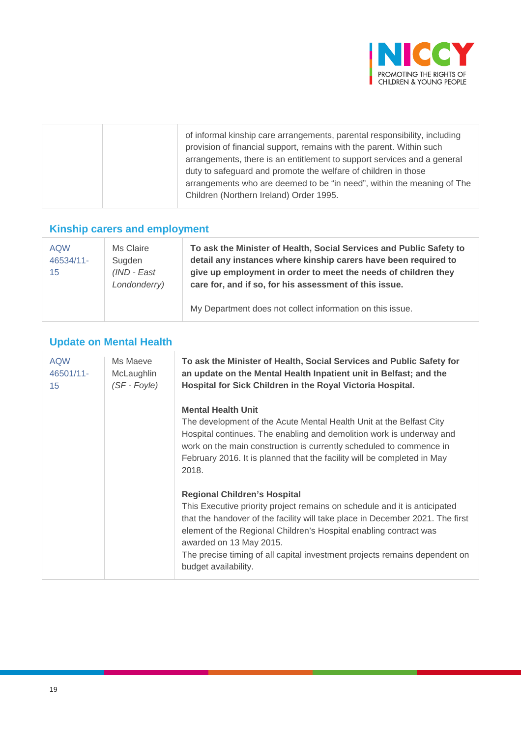

|  | of informal kinship care arrangements, parental responsibility, including<br>provision of financial support, remains with the parent. Within such<br>arrangements, there is an entitlement to support services and a general<br>duty to safeguard and promote the welfare of children in those<br>arrangements who are deemed to be "in need", within the meaning of The |
|--|--------------------------------------------------------------------------------------------------------------------------------------------------------------------------------------------------------------------------------------------------------------------------------------------------------------------------------------------------------------------------|
|  | Children (Northern Ireland) Order 1995.                                                                                                                                                                                                                                                                                                                                  |
|  |                                                                                                                                                                                                                                                                                                                                                                          |

# **Kinship carers and employment**

| <b>AQW</b><br>46534/11-<br>15 | Ms Claire<br>Sugden<br>$(IND - East)$<br>Londonderry) | To ask the Minister of Health, Social Services and Public Safety to<br>detail any instances where kinship carers have been required to<br>give up employment in order to meet the needs of children they<br>care for, and if so, for his assessment of this issue. |
|-------------------------------|-------------------------------------------------------|--------------------------------------------------------------------------------------------------------------------------------------------------------------------------------------------------------------------------------------------------------------------|
|                               |                                                       | My Department does not collect information on this issue.                                                                                                                                                                                                          |

# **Update on Mental Health**

| <b>AQW</b><br>46501/11-<br>15 | Ms Maeve<br>McLaughlin<br>(SF - Foyle) | To ask the Minister of Health, Social Services and Public Safety for<br>an update on the Mental Health Inpatient unit in Belfast; and the<br>Hospital for Sick Children in the Royal Victoria Hospital.                                                                                                                                                                                                 |
|-------------------------------|----------------------------------------|---------------------------------------------------------------------------------------------------------------------------------------------------------------------------------------------------------------------------------------------------------------------------------------------------------------------------------------------------------------------------------------------------------|
|                               |                                        | <b>Mental Health Unit</b><br>The development of the Acute Mental Health Unit at the Belfast City<br>Hospital continues. The enabling and demolition work is underway and<br>work on the main construction is currently scheduled to commence in<br>February 2016. It is planned that the facility will be completed in May<br>2018.                                                                     |
|                               |                                        | <b>Regional Children's Hospital</b><br>This Executive priority project remains on schedule and it is anticipated<br>that the handover of the facility will take place in December 2021. The first<br>element of the Regional Children's Hospital enabling contract was<br>awarded on 13 May 2015.<br>The precise timing of all capital investment projects remains dependent on<br>budget availability. |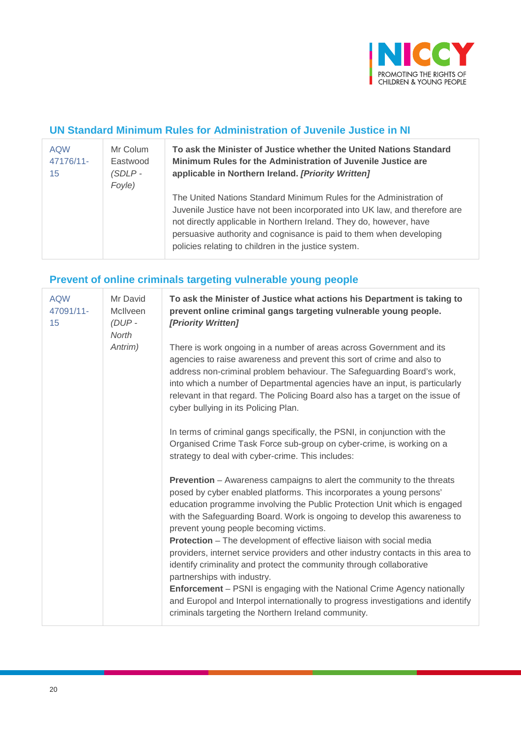

# **UN Standard Minimum Rules for Administration of Juvenile Justice in NI**

| <b>AQW</b><br>47176/11-<br>15 | Mr Colum<br>Eastwood<br>$(SDLP -$<br>Foyle) | To ask the Minister of Justice whether the United Nations Standard<br>Minimum Rules for the Administration of Juvenile Justice are<br>applicable in Northern Ireland. [Priority Written]                                                                                                                                                                |
|-------------------------------|---------------------------------------------|---------------------------------------------------------------------------------------------------------------------------------------------------------------------------------------------------------------------------------------------------------------------------------------------------------------------------------------------------------|
|                               |                                             | The United Nations Standard Minimum Rules for the Administration of<br>Juvenile Justice have not been incorporated into UK law, and therefore are<br>not directly applicable in Northern Ireland. They do, however, have<br>persuasive authority and cognisance is paid to them when developing<br>policies relating to children in the justice system. |

# **Prevent of online criminals targeting vulnerable young people**

| <b>AQW</b><br>47091/11-<br>15 | Mr David<br>McIlveen<br>$(DUP -$<br>North | To ask the Minister of Justice what actions his Department is taking to<br>prevent online criminal gangs targeting vulnerable young people.<br>[Priority Written]                                                                                                                                                                                                                                                                                                                                                                                                                                                                   |
|-------------------------------|-------------------------------------------|-------------------------------------------------------------------------------------------------------------------------------------------------------------------------------------------------------------------------------------------------------------------------------------------------------------------------------------------------------------------------------------------------------------------------------------------------------------------------------------------------------------------------------------------------------------------------------------------------------------------------------------|
|                               | Antrim)                                   | There is work ongoing in a number of areas across Government and its<br>agencies to raise awareness and prevent this sort of crime and also to<br>address non-criminal problem behaviour. The Safeguarding Board's work,<br>into which a number of Departmental agencies have an input, is particularly<br>relevant in that regard. The Policing Board also has a target on the issue of<br>cyber bullying in its Policing Plan.                                                                                                                                                                                                    |
|                               |                                           | In terms of criminal gangs specifically, the PSNI, in conjunction with the<br>Organised Crime Task Force sub-group on cyber-crime, is working on a<br>strategy to deal with cyber-crime. This includes:                                                                                                                                                                                                                                                                                                                                                                                                                             |
|                               |                                           | <b>Prevention</b> – Awareness campaigns to alert the community to the threats<br>posed by cyber enabled platforms. This incorporates a young persons'<br>education programme involving the Public Protection Unit which is engaged<br>with the Safeguarding Board. Work is ongoing to develop this awareness to<br>prevent young people becoming victims.<br><b>Protection</b> – The development of effective liaison with social media<br>providers, internet service providers and other industry contacts in this area to<br>identify criminality and protect the community through collaborative<br>partnerships with industry. |
|                               |                                           | <b>Enforcement</b> – PSNI is engaging with the National Crime Agency nationally<br>and Europol and Interpol internationally to progress investigations and identify<br>criminals targeting the Northern Ireland community.                                                                                                                                                                                                                                                                                                                                                                                                          |